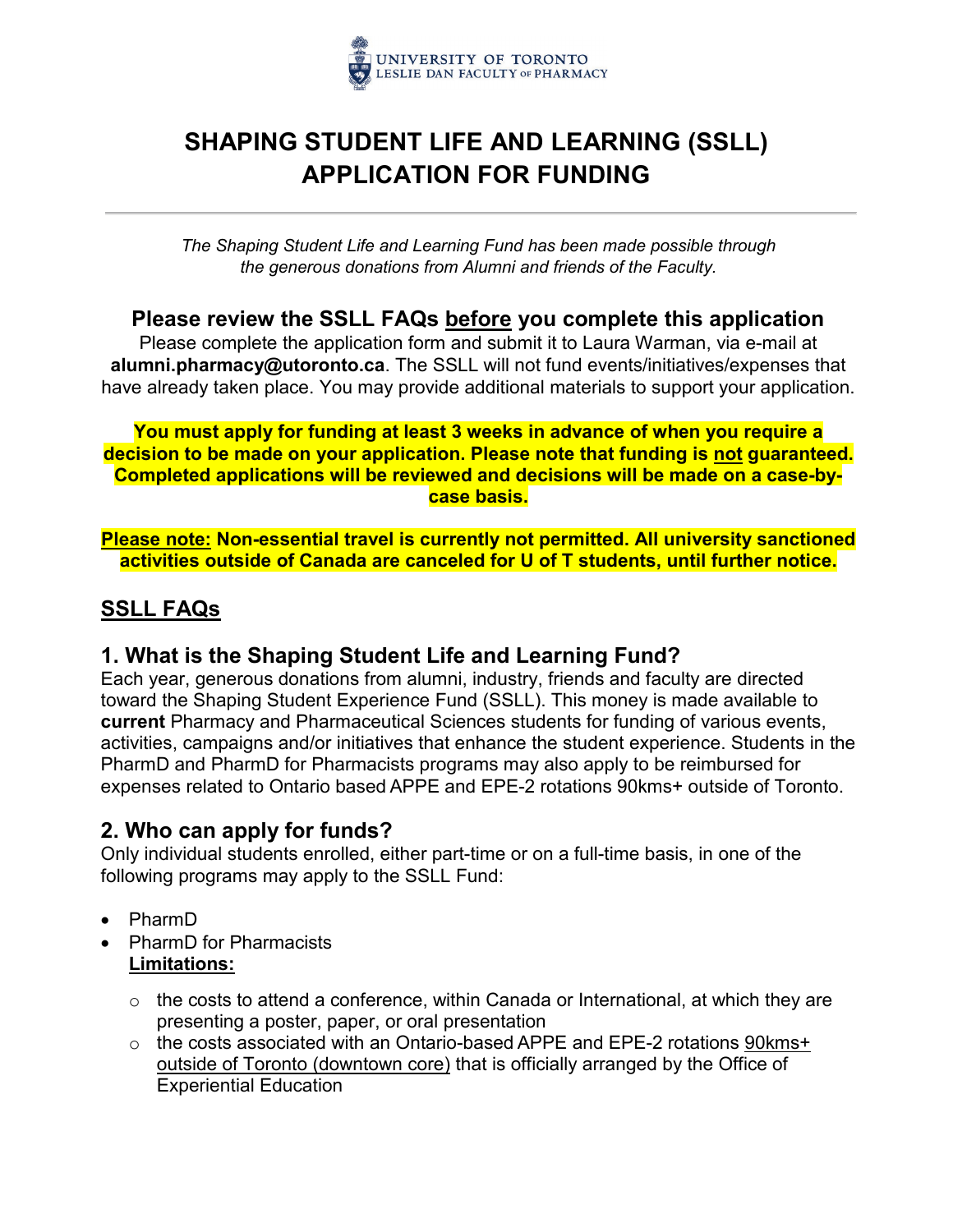

# **SHAPING STUDENT LIFE AND LEARNING (SSLL) APPLICATION FOR FUNDING**

*The Shaping Student Life and Learning Fund has been made possible through the generous donations from Alumni and friends of the Faculty.*

### **Please review the SSLL FAQs before you complete this application**

Please complete the application form and submit it to Laura Warman, via e-mail at **alumni.pharmacy@utoronto.ca**. The SSLL will not fund events/initiatives/expenses that have already taken place. You may provide additional materials to support your application.

#### **You must apply for funding at least 3 weeks in advance of when you require a decision to be made on your application. Please note that funding is not guaranteed. Completed applications will be reviewed and decisions will be made on a case-bycase basis.**

**Please note: Non-essential travel is currently not permitted. All university sanctioned activities outside of Canada are canceled for U of T students, until further notice.**

## **SSLL FAQs**

## **1. What is the Shaping Student Life and Learning Fund?**

Each year, generous donations from alumni, industry, friends and faculty are directed toward the Shaping Student Experience Fund (SSLL). This money is made available to **current** Pharmacy and Pharmaceutical Sciences students for funding of various events, activities, campaigns and/or initiatives that enhance the student experience. Students in the PharmD and PharmD for Pharmacists programs may also apply to be reimbursed for expenses related to Ontario based APPE and EPE-2 rotations 90kms+ outside of Toronto.

## **2. Who can apply for funds?**

Only individual students enrolled, either part-time or on a full-time basis, in one of the following programs may apply to the SSLL Fund:

- PharmD
- PharmD for Pharmacists **Limitations:**
	- o the costs to attend a conference, within Canada or International, at which they are presenting a poster, paper, or oral presentation
	- o the costs associated with an Ontario-based APPE and EPE-2 rotations 90kms+ outside of Toronto (downtown core) that is officially arranged by the Office of Experiential Education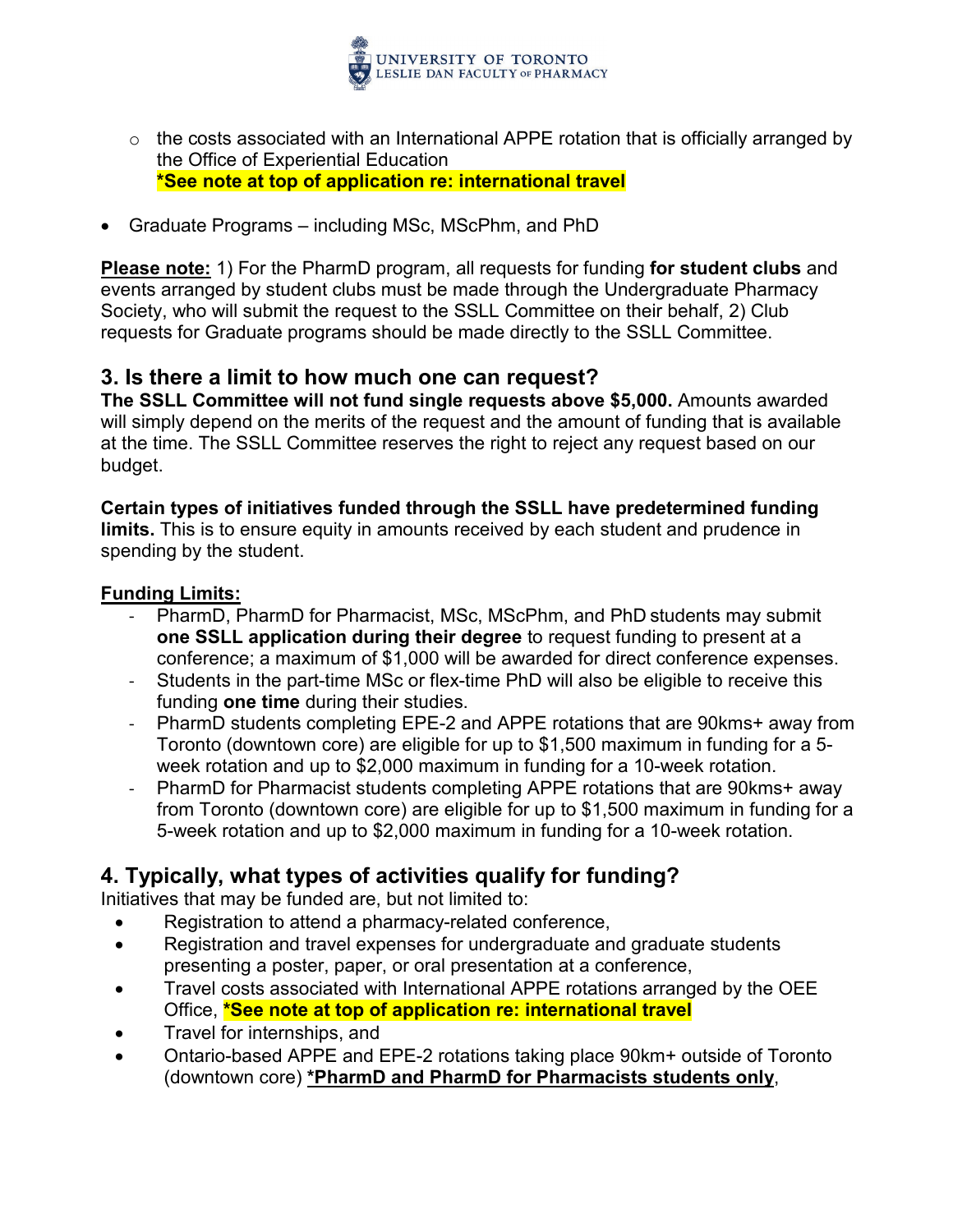

- $\circ$  the costs associated with an International APPE rotation that is officially arranged by the Office of Experiential Education **\*See note at top of application re: international travel**
- Graduate Programs including MSc, MScPhm, and PhD

**Please note:** 1) For the PharmD program, all requests for funding **for student clubs** and events arranged by student clubs must be made through the Undergraduate Pharmacy Society, who will submit the request to the SSLL Committee on their behalf, 2) Club requests for Graduate programs should be made directly to the SSLL Committee.

## **3. Is there a limit to how much one can request?**

**The SSLL Committee will not fund single requests above \$5,000.** Amounts awarded will simply depend on the merits of the request and the amount of funding that is available at the time. The SSLL Committee reserves the right to reject any request based on our budget.

### **Certain types of initiatives funded through the SSLL have predetermined funding**

**limits.** This is to ensure equity in amounts received by each student and prudence in spending by the student.

#### **Funding Limits:**

- PharmD, PharmD for Pharmacist, MSc, MScPhm, and PhD students may submit **one SSLL application during their degree** to request funding to present at a conference; a maximum of \$1,000 will be awarded for direct conference expenses.
- Students in the part-time MSc or flex-time PhD will also be eligible to receive this funding **one time** during their studies.
- PharmD students completing EPE-2 and APPE rotations that are 90kms+ away from Toronto (downtown core) are eligible for up to \$1,500 maximum in funding for a 5 week rotation and up to \$2,000 maximum in funding for a 10-week rotation.
- PharmD for Pharmacist students completing APPE rotations that are 90kms+ away from Toronto (downtown core) are eligible for up to \$1,500 maximum in funding for a 5-week rotation and up to \$2,000 maximum in funding for a 10-week rotation.

## **4. Typically, what types of activities qualify for funding?**

Initiatives that may be funded are, but not limited to:

- Registration to attend a pharmacy-related conference,
- Registration and travel expenses for undergraduate and graduate students presenting a poster, paper, or oral presentation at a conference,
- Travel costs associated with International APPE rotations arranged by the OEE Office, **\*See note at top of application re: international travel**
- Travel for internships, and
- Ontario-based APPE and EPE-2 rotations taking place 90km+ outside of Toronto (downtown core) **\*PharmD and PharmD for Pharmacists students only**,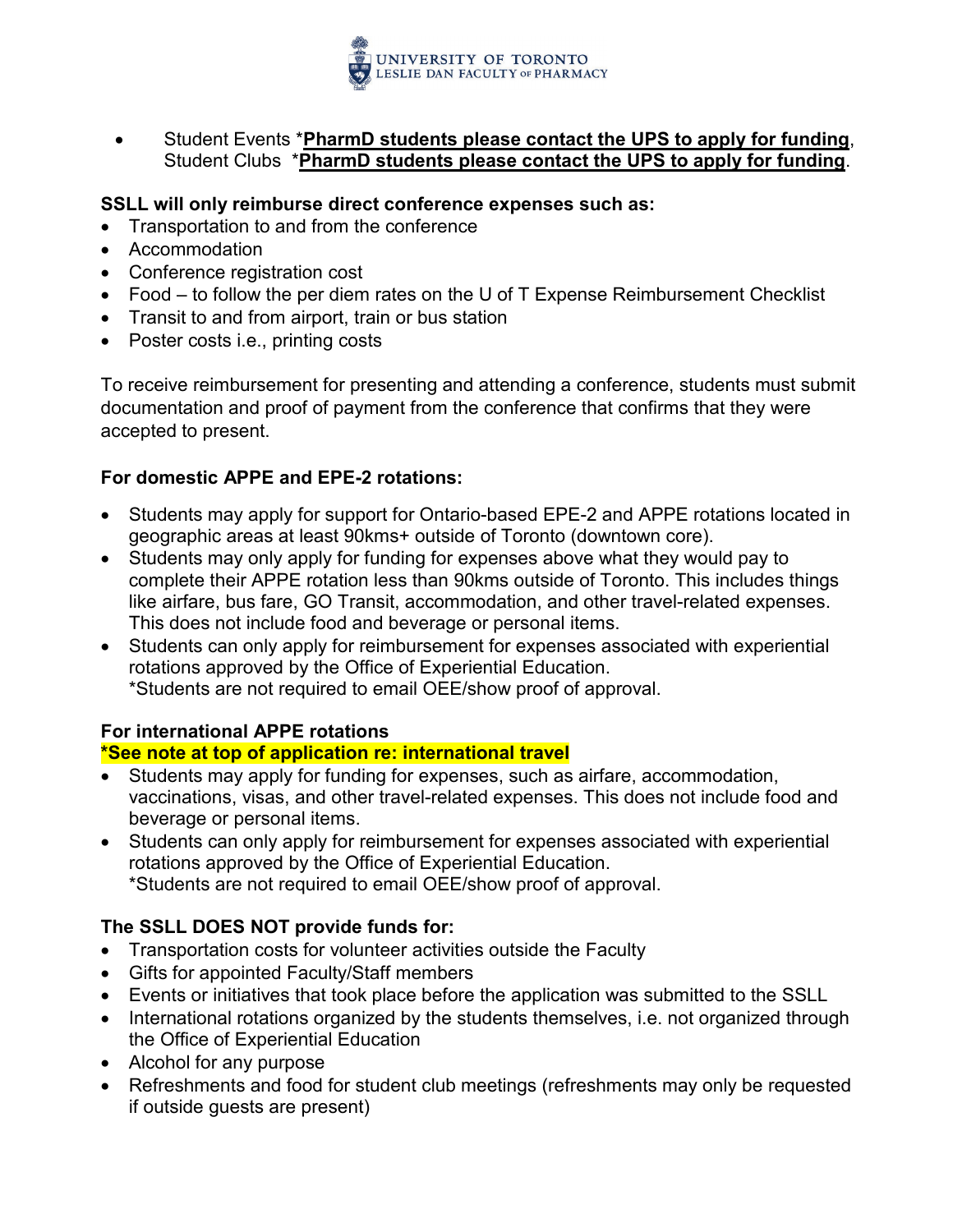

- Student Events \***PharmD students please contact the UPS to apply for funding**, Student Clubs \***PharmD students please contact the UPS to apply for funding**.
- **SSLL will only reimburse direct conference expenses such as:**
- Transportation to and from the conference
- Accommodation
- Conference registration cost
- Food to follow the per diem rates on the U of T Expense Reimbursement Checklist
- Transit to and from airport, train or bus station
- Poster costs *i.e.*, printing costs

To receive reimbursement for presenting and attending a conference, students must submit documentation and proof of payment from the conference that confirms that they were accepted to present.

#### **For domestic APPE and EPE-2 rotations:**

- Students may apply for support for Ontario-based EPE-2 and APPE rotations located in geographic areas at least 90kms+ outside of Toronto (downtown core).
- Students may only apply for funding for expenses above what they would pay to complete their APPE rotation less than 90kms outside of Toronto. This includes things like airfare, bus fare, GO Transit, accommodation, and other travel-related expenses. This does not include food and beverage or personal items.
- Students can only apply for reimbursement for expenses associated with experiential rotations approved by the Office of Experiential Education. \*Students are not required to email OEE/show proof of approval.

#### **For international APPE rotations**

#### **\*See note at top of application re: international travel**

- Students may apply for funding for expenses, such as airfare, accommodation, vaccinations, visas, and other travel-related expenses. This does not include food and beverage or personal items.
- Students can only apply for reimbursement for expenses associated with experiential rotations approved by the Office of Experiential Education. \*Students are not required to email OEE/show proof of approval.

#### **The SSLL DOES NOT provide funds for:**

- Transportation costs for volunteer activities outside the Faculty
- Gifts for appointed Faculty/Staff members
- Events or initiatives that took place before the application was submitted to the SSLL
- International rotations organized by the students themselves, i.e. not organized through the Office of Experiential Education
- Alcohol for any purpose
- Refreshments and food for student club meetings (refreshments may only be requested if outside guests are present)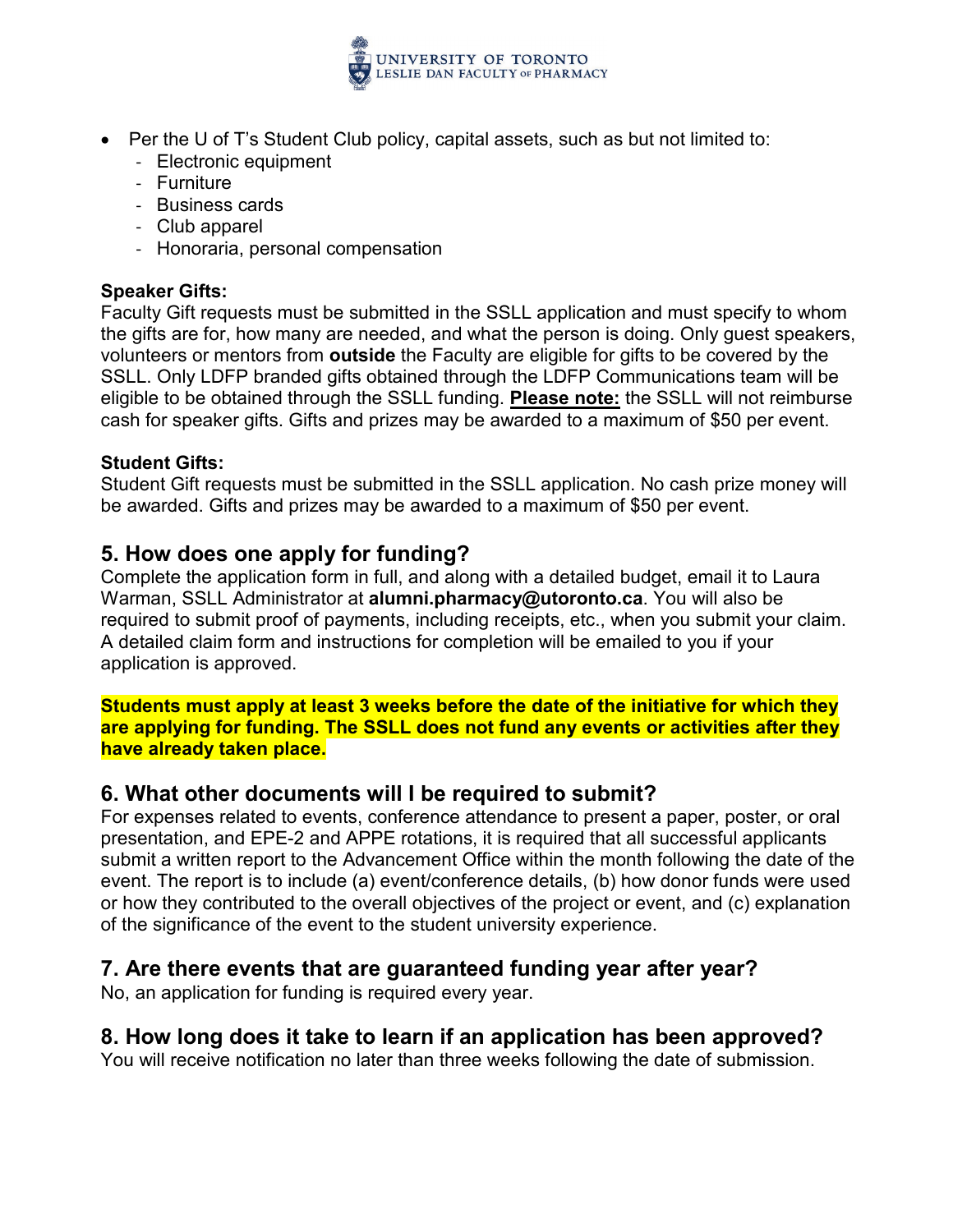

- Per the U of T's Student Club policy, capital assets, such as but not limited to:
	- Electronic equipment
	- Furniture
	- Business cards
	- Club apparel
	- Honoraria, personal compensation

#### **Speaker Gifts:**

Faculty Gift requests must be submitted in the SSLL application and must specify to whom the gifts are for, how many are needed, and what the person is doing. Only guest speakers, volunteers or mentors from **outside** the Faculty are eligible for gifts to be covered by the SSLL. Only LDFP branded gifts obtained through the LDFP Communications team will be eligible to be obtained through the SSLL funding. **Please note:** the SSLL will not reimburse cash for speaker gifts. Gifts and prizes may be awarded to a maximum of \$50 per event.

#### **Student Gifts:**

Student Gift requests must be submitted in the SSLL application. No cash prize money will be awarded. Gifts and prizes may be awarded to a maximum of \$50 per event.

### **5. How does one apply for funding?**

Complete the application form in full, and along with a detailed budget, email it to Laura Warman, SSLL Administrator at **alumni.pharmacy@utoronto.ca**. You will also be required to submit proof of payments, including receipts, etc., when you submit your claim. A detailed claim form and instructions for completion will be emailed to you if your application is approved.

**Students must apply at least 3 weeks before the date of the initiative for which they are applying for funding. The SSLL does not fund any events or activities after they have already taken place.**

### **6. What other documents will I be required to submit?**

For expenses related to events, conference attendance to present a paper, poster, or oral presentation, and EPE-2 and APPE rotations, it is required that all successful applicants submit a written report to the Advancement Office within the month following the date of the event. The report is to include (a) event/conference details, (b) how donor funds were used or how they contributed to the overall objectives of the project or event, and (c) explanation of the significance of the event to the student university experience.

### **7. Are there events that are guaranteed funding year after year?**

No, an application for funding is required every year.

## **8. How long does it take to learn if an application has been approved?**

You will receive notification no later than three weeks following the date of submission.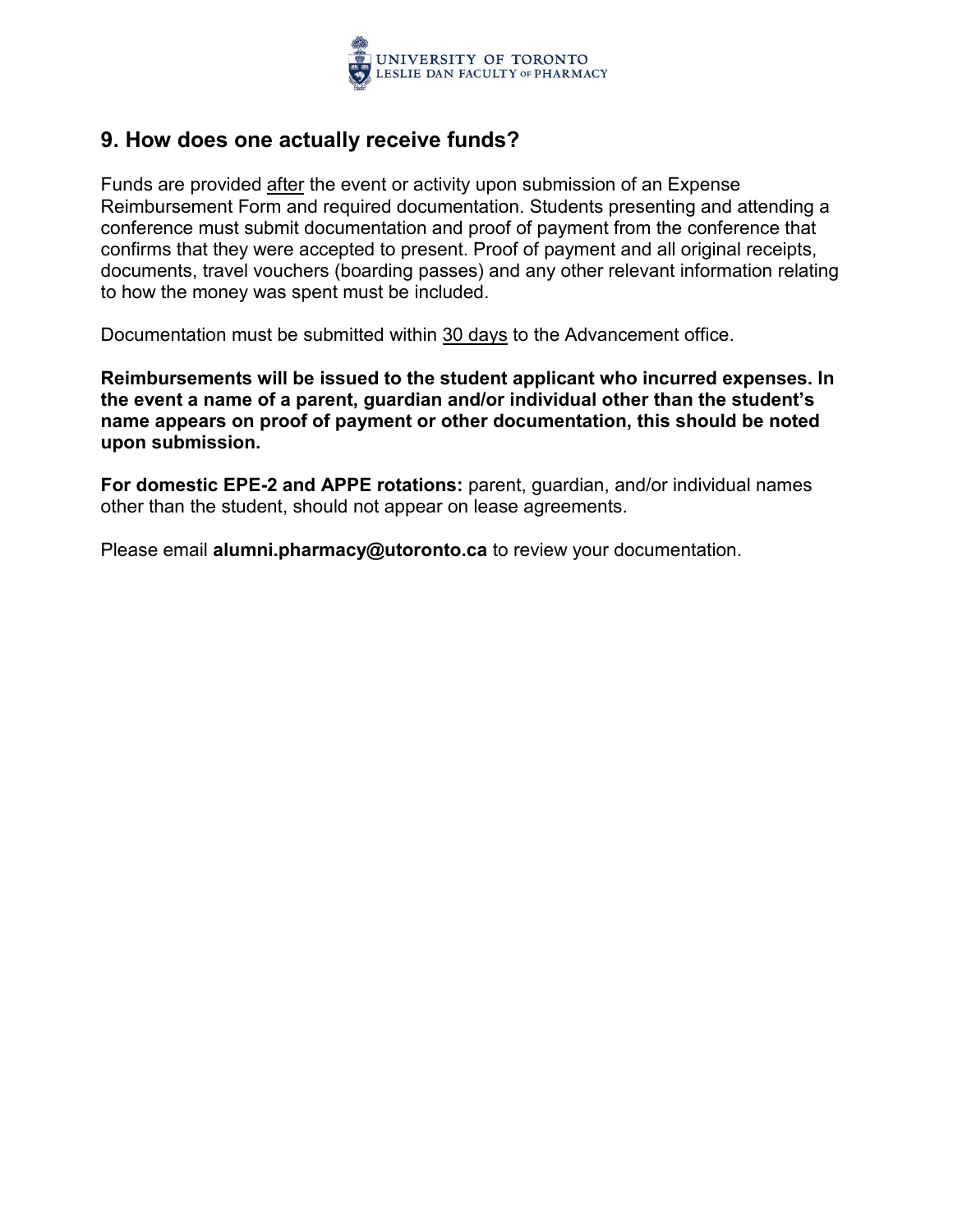

## **9. How does one actually receive funds?**

Funds are provided after the event or activity upon submission of an Expense Reimbursement Form and required documentation. Students presenting and attending a conference must submit documentation and proof of payment from the conference that confirms that they were accepted to present. Proof of payment and all original receipts, documents, travel vouchers (boarding passes) and any other relevant information relating to how the money was spent must be included.

Documentation must be submitted within 30 days to the Advancement office.

**Reimbursements will be issued to the student applicant who incurred expenses. In the event a name of a parent, guardian and/or individual other than the student's name appears on proof of payment or other documentation, this should be noted upon submission.** 

**For domestic EPE-2 and APPE rotations:** parent, guardian, and/or individual names other than the student, should not appear on lease agreements.

Please email **alumni.pharmacy@utoronto.ca** to review your documentation.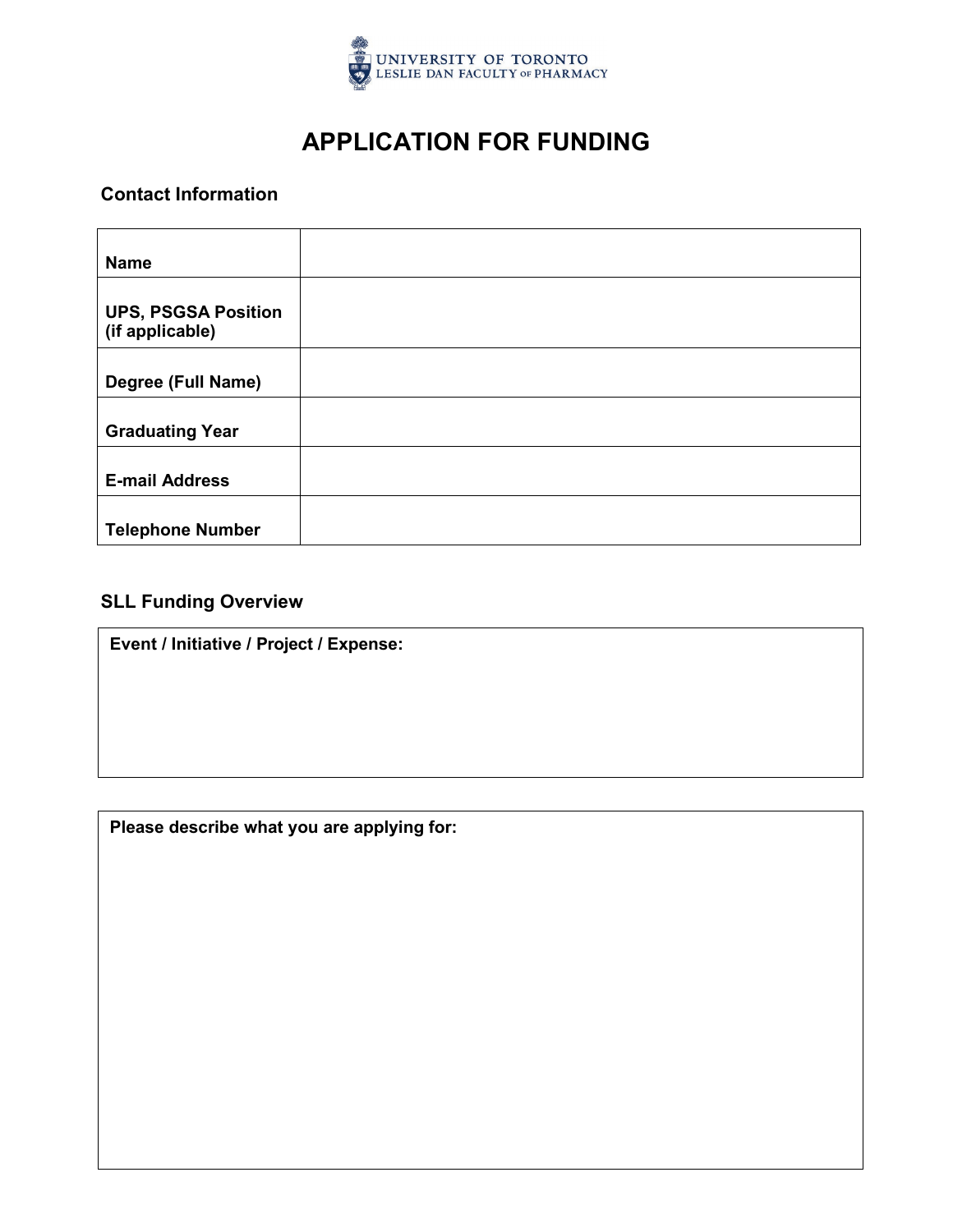

## **APPLICATION FOR FUNDING**

#### **Contact Information**

| <b>Name</b>                                   |  |
|-----------------------------------------------|--|
| <b>UPS, PSGSA Position</b><br>(if applicable) |  |
| Degree (Full Name)                            |  |
| <b>Graduating Year</b>                        |  |
| <b>E-mail Address</b>                         |  |
| <b>Telephone Number</b>                       |  |

### **SLL Funding Overview**

**Event / Initiative / Project / Expense:**

**Please describe what you are applying for:**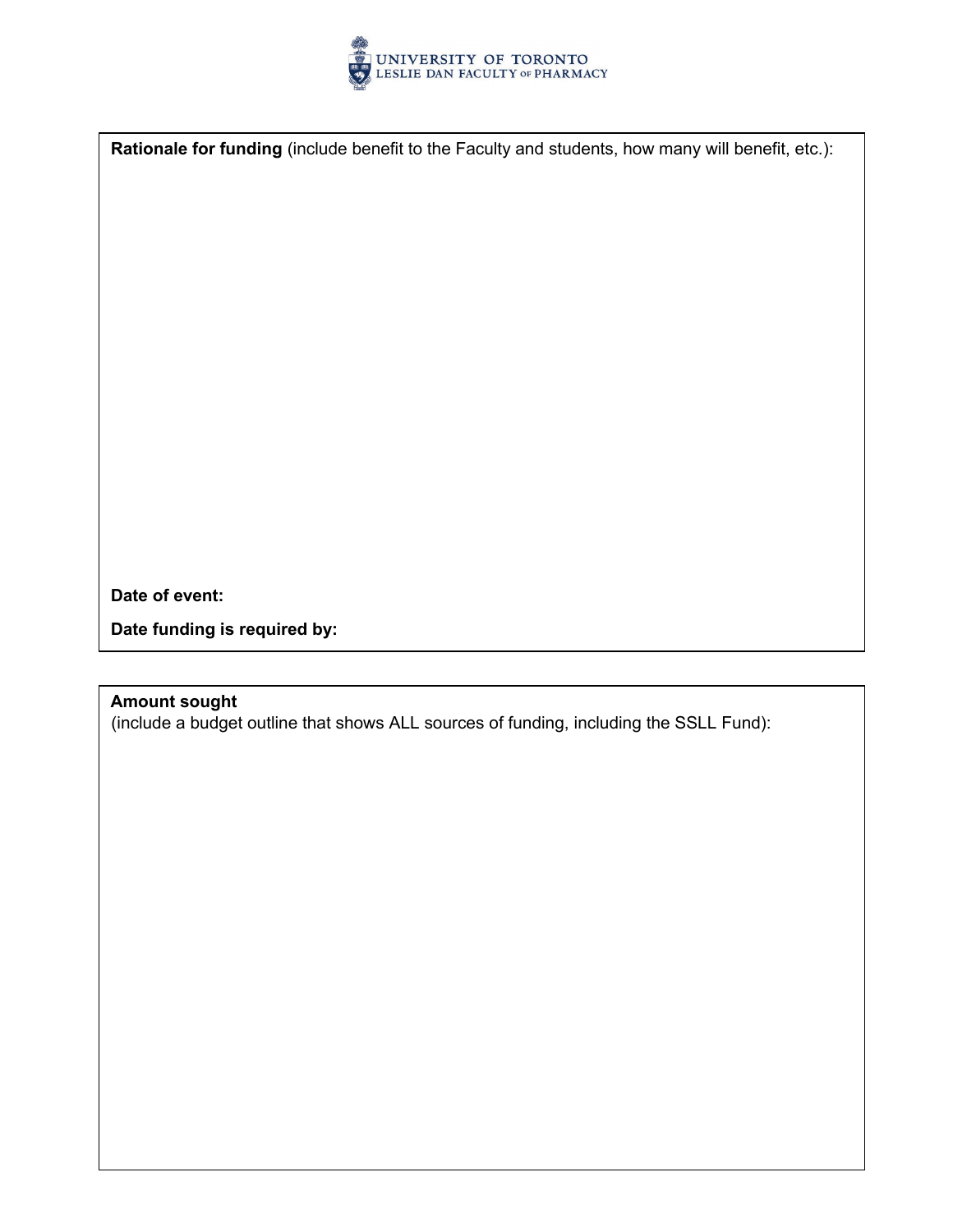

**Rationale for funding** (include benefit to the Faculty and students, how many will benefit, etc.):

**Date of event:** 

**Date funding is required by:** 

#### **Amount sought**

(include a budget outline that shows ALL sources of funding, including the SSLL Fund):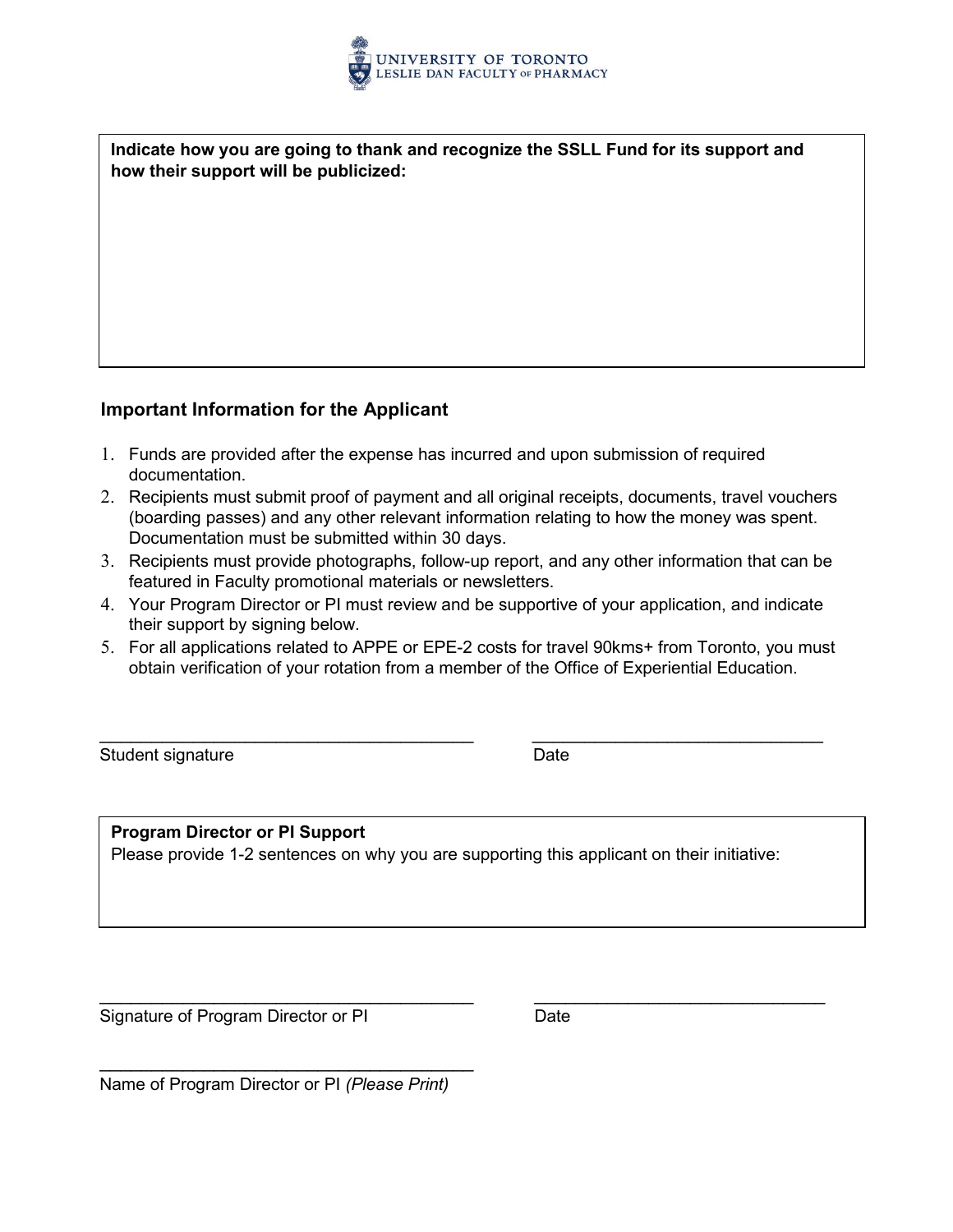

**Indicate how you are going to thank and recognize the SSLL Fund for its support and how their support will be publicized:**

#### **Important Information for the Applicant**

- 1. Funds are provided after the expense has incurred and upon submission of required documentation.
- 2. Recipients must submit proof of payment and all original receipts, documents, travel vouchers (boarding passes) and any other relevant information relating to how the money was spent. Documentation must be submitted within 30 days.
- 3. Recipients must provide photographs, follow-up report, and any other information that can be featured in Faculty promotional materials or newsletters.
- 4. Your Program Director or PI must review and be supportive of your application, and indicate their support by signing below.
- 5. For all applications related to APPE or EPE-2 costs for travel 90kms+ from Toronto, you must obtain verification of your rotation from a member of the Office of Experiential Education.

\_\_\_\_\_\_\_\_\_\_\_\_\_\_\_\_\_\_\_\_\_\_\_\_\_\_\_\_\_\_\_\_\_\_\_\_ \_\_\_\_\_\_\_\_\_\_\_\_\_\_\_\_\_\_\_\_\_\_\_\_\_\_\_\_

Student signature **Date** 

#### **Program Director or PI Support**

Please provide 1-2 sentences on why you are supporting this applicant on their initiative:

\_\_\_\_\_\_\_\_\_\_\_\_\_\_\_\_\_\_\_\_\_\_\_\_\_\_\_\_\_\_\_\_\_\_\_\_ \_\_\_\_\_\_\_\_\_\_\_\_\_\_\_\_\_\_\_\_\_\_\_\_\_\_\_\_

Signature of Program Director or PI Date

\_\_\_\_\_\_\_\_\_\_\_\_\_\_\_\_\_\_\_\_\_\_\_\_\_\_\_\_\_\_\_\_\_\_\_\_ Name of Program Director or PI *(Please Print)*